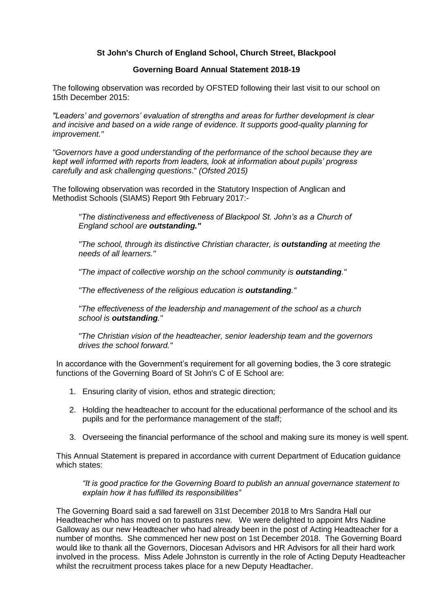# **St John's Church of England School, Church Street, Blackpool**

## **Governing Board Annual Statement 2018-19**

The following observation was recorded by OFSTED following their last visit to our school on 15th December 2015:

*"Leaders' and governors' evaluation of strengths and areas for further development is clear and incisive and based on a wide range of evidence. It supports good-quality planning for improvement."* 

*"Governors have a good understanding of the performance of the school because they are kept well informed with reports from leaders, look at information about pupils' progress carefully and ask challenging questions*." *(Ofsted 2015)*

The following observation was recorded in the Statutory Inspection of Anglican and Methodist Schools (SIAMS) Report 9th February 2017:-

*"The distinctiveness and effectiveness of Blackpool St. John's as a Church of England school are outstanding."*

*"The school, through its distinctive Christian character, is outstanding at meeting the needs of all learners."*

*"The impact of collective worship on the school community is outstanding."*

*"The effectiveness of the religious education is outstanding."*

*"The effectiveness of the leadership and management of the school as a church school is outstanding."*

*"The Christian vision of the headteacher, senior leadership team and the governors drives the school forward."*

In accordance with the Government's requirement for all governing bodies, the 3 core strategic functions of the Governing Board of St John's C of E School are:

- 1. Ensuring clarity of vision, ethos and strategic direction;
- 2. Holding the headteacher to account for the educational performance of the school and its pupils and for the performance management of the staff;
- 3. Overseeing the financial performance of the school and making sure its money is well spent.

This Annual Statement is prepared in accordance with current Department of Education guidance which states:

*"It is good practice for the Governing Board to publish an annual governance statement to explain how it has fulfilled its responsibilities"* 

The Governing Board said a sad farewell on 31st December 2018 to Mrs Sandra Hall our Headteacher who has moved on to pastures new. We were delighted to appoint Mrs Nadine Galloway as our new Headteacher who had already been in the post of Acting Headteacher for a number of months. She commenced her new post on 1st December 2018. The Governing Board would like to thank all the Governors, Diocesan Advisors and HR Advisors for all their hard work involved in the process. Miss Adele Johnston is currently in the role of Acting Deputy Headteacher whilst the recruitment process takes place for a new Deputy Headtacher.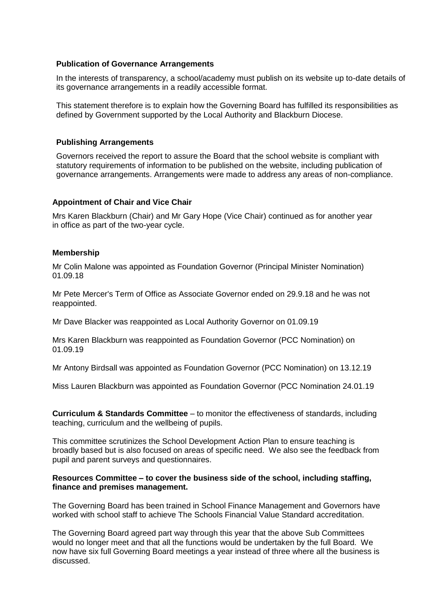#### **Publication of Governance Arrangements**

In the interests of transparency, a school/academy must publish on its website up to-date details of its governance arrangements in a readily accessible format.

This statement therefore is to explain how the Governing Board has fulfilled its responsibilities as defined by Government supported by the Local Authority and Blackburn Diocese.

#### **Publishing Arrangements**

Governors received the report to assure the Board that the school website is compliant with statutory requirements of information to be published on the website, including publication of governance arrangements. Arrangements were made to address any areas of non-compliance.

## **Appointment of Chair and Vice Chair**

Mrs Karen Blackburn (Chair) and Mr Gary Hope (Vice Chair) continued as for another year in office as part of the two-year cycle.

#### **Membership**

Mr Colin Malone was appointed as Foundation Governor (Principal Minister Nomination) 01.09.18

Mr Pete Mercer's Term of Office as Associate Governor ended on 29.9.18 and he was not reappointed.

Mr Dave Blacker was reappointed as Local Authority Governor on 01.09.19

Mrs Karen Blackburn was reappointed as Foundation Governor (PCC Nomination) on 01.09.19

Mr Antony Birdsall was appointed as Foundation Governor (PCC Nomination) on 13.12.19

Miss Lauren Blackburn was appointed as Foundation Governor (PCC Nomination 24.01.19

**Curriculum & Standards Committee** – to monitor the effectiveness of standards, including teaching, curriculum and the wellbeing of pupils.

This committee scrutinizes the School Development Action Plan to ensure teaching is broadly based but is also focused on areas of specific need. We also see the feedback from pupil and parent surveys and questionnaires.

#### **Resources Committee – to cover the business side of the school, including staffing, finance and premises management.**

The Governing Board has been trained in School Finance Management and Governors have worked with school staff to achieve The Schools Financial Value Standard accreditation.

The Governing Board agreed part way through this year that the above Sub Committees would no longer meet and that all the functions would be undertaken by the full Board. We now have six full Governing Board meetings a year instead of three where all the business is discussed.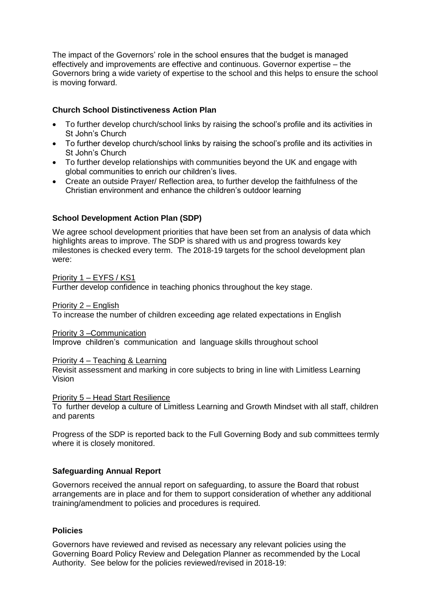The impact of the Governors' role in the school ensures that the budget is managed effectively and improvements are effective and continuous. Governor expertise – the Governors bring a wide variety of expertise to the school and this helps to ensure the school is moving forward.

## **Church School Distinctiveness Action Plan**

- To further develop church/school links by raising the school's profile and its activities in St John's Church
- To further develop church/school links by raising the school's profile and its activities in St John's Church
- To further develop relationships with communities beyond the UK and engage with global communities to enrich our children's lives.
- Create an outside Prayer/ Reflection area, to further develop the faithfulness of the Christian environment and enhance the children's outdoor learning

## **School Development Action Plan (SDP)**

We agree school development priorities that have been set from an analysis of data which highlights areas to improve. The SDP is shared with us and progress towards key milestones is checked every term. The 2018-19 targets for the school development plan were:

Priority 1 – EYFS / KS1 Further develop confidence in teaching phonics throughout the key stage.

Priority 2 – English

To increase the number of children exceeding age related expectations in English

Priority 3 –Communication

Improve children's communication and language skills throughout school

Priority 4 – Teaching & Learning

Revisit assessment and marking in core subjects to bring in line with Limitless Learning Vision

Priority 5 – Head Start Resilience

To further develop a culture of Limitless Learning and Growth Mindset with all staff, children and parents

Progress of the SDP is reported back to the Full Governing Body and sub committees termly where it is closely monitored.

## **Safeguarding Annual Report**

Governors received the annual report on safeguarding, to assure the Board that robust arrangements are in place and for them to support consideration of whether any additional training/amendment to policies and procedures is required.

## **Policies**

Governors have reviewed and revised as necessary any relevant policies using the Governing Board Policy Review and Delegation Planner as recommended by the Local Authority. See below for the policies reviewed/revised in 2018-19: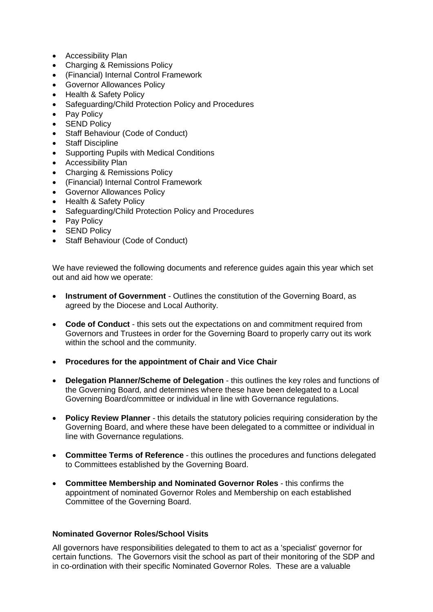- Accessibility Plan
- Charging & Remissions Policy
- (Financial) Internal Control Framework
- Governor Allowances Policy
- Health & Safety Policy
- Safeguarding/Child Protection Policy and Procedures
- Pay Policy
- SEND Policy
- Staff Behaviour (Code of Conduct)
- Staff Discipline
- Supporting Pupils with Medical Conditions
- Accessibility Plan
- Charging & Remissions Policy
- (Financial) Internal Control Framework
- Governor Allowances Policy
- Health & Safety Policy
- Safeguarding/Child Protection Policy and Procedures
- Pay Policy
- SEND Policy
- Staff Behaviour (Code of Conduct)

We have reviewed the following documents and reference guides again this year which set out and aid how we operate:

- **Instrument of Government** Outlines the constitution of the Governing Board, as agreed by the Diocese and Local Authority.
- **Code of Conduct** this sets out the expectations on and commitment required from Governors and Trustees in order for the Governing Board to properly carry out its work within the school and the community.
- **Procedures for the appointment of Chair and Vice Chair**
- **Delegation Planner/Scheme of Delegation** this outlines the key roles and functions of the Governing Board, and determines where these have been delegated to a Local Governing Board/committee or individual in line with Governance regulations.
- **Policy Review Planner** this details the statutory policies requiring consideration by the Governing Board, and where these have been delegated to a committee or individual in line with Governance regulations.
- **Committee Terms of Reference** this outlines the procedures and functions delegated to Committees established by the Governing Board.
- **Committee Membership and Nominated Governor Roles** this confirms the appointment of nominated Governor Roles and Membership on each established Committee of the Governing Board.

## **Nominated Governor Roles/School Visits**

All governors have responsibilities delegated to them to act as a 'specialist' governor for certain functions. The Governors visit the school as part of their monitoring of the SDP and in co-ordination with their specific Nominated Governor Roles. These are a valuable